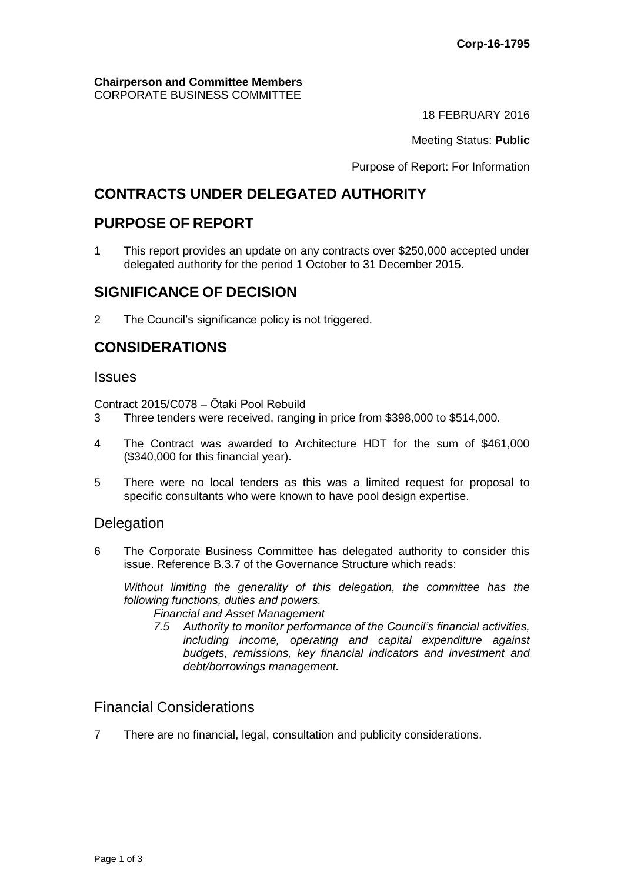#### **Chairperson and Committee Members** CORPORATE BUSINESS COMMITTEE

18 FEBRUARY 2016

Meeting Status: **Public**

Purpose of Report: For Information

# **CONTRACTS UNDER DELEGATED AUTHORITY**

## **PURPOSE OF REPORT**

1 This report provides an update on any contracts over \$250,000 accepted under delegated authority for the period 1 October to 31 December 2015.

## **SIGNIFICANCE OF DECISION**

2 The Council's significance policy is not triggered.

## **CONSIDERATIONS**

#### **Issues**

Contract 2015/C078 – Ōtaki Pool Rebuild

- 3 Three tenders were received, ranging in price from \$398,000 to \$514,000.
- 4 The Contract was awarded to Architecture HDT for the sum of \$461,000 (\$340,000 for this financial year).
- 5 There were no local tenders as this was a limited request for proposal to specific consultants who were known to have pool design expertise.

#### **Delegation**

6 The Corporate Business Committee has delegated authority to consider this issue. Reference B.3.7 of the Governance Structure which reads:

*Without limiting the generality of this delegation, the committee has the following functions, duties and powers.*

*Financial and Asset Management*

*7.5 Authority to monitor performance of the Council's financial activities, including income, operating and capital expenditure against budgets, remissions, key financial indicators and investment and debt/borrowings management.*

## Financial Considerations

7 There are no financial, legal, consultation and publicity considerations.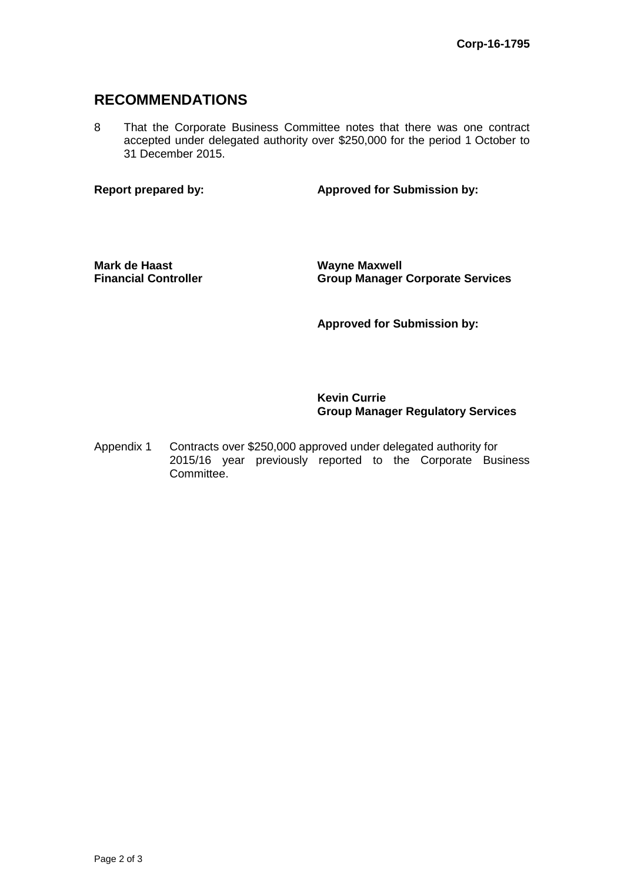### **RECOMMENDATIONS**

8 That the Corporate Business Committee notes that there was one contract accepted under delegated authority over \$250,000 for the period 1 October to 31 December 2015.

**Report prepared by: Approved for Submission by:**

**Mark de Haast Financial Controller** **Wayne Maxwell Group Manager Corporate Services**

**Approved for Submission by:**

**Kevin Currie Group Manager Regulatory Services**

Appendix 1 Contracts over \$250,000 approved under delegated authority for 2015/16 year previously reported to the Corporate Business Committee.